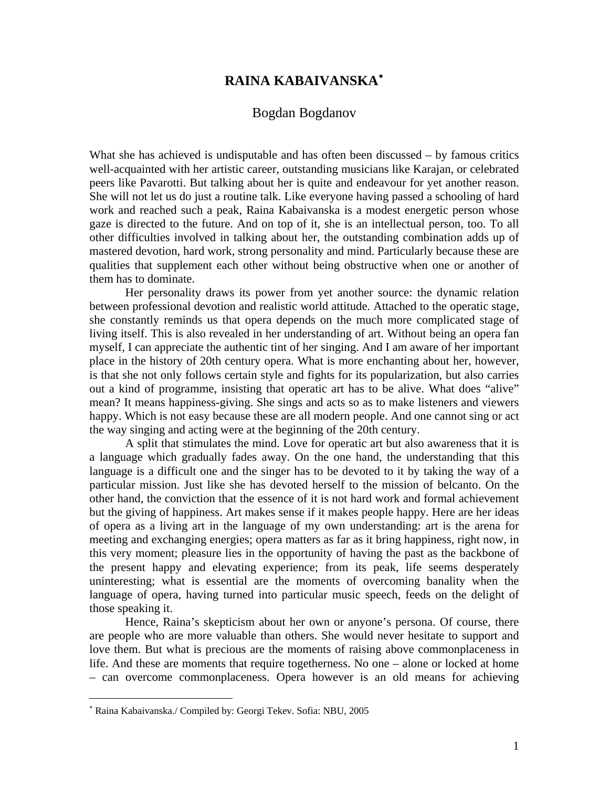## **RAINA KABAIVANSKA**[∗](#page-0-0)

## Bogdan Bogdanov

What she has achieved is undisputable and has often been discussed – by famous critics well-acquainted with her artistic career, outstanding musicians like Karajan, or celebrated peers like Pavarotti. But talking about her is quite and endeavour for yet another reason. She will not let us do just a routine talk. Like everyone having passed a schooling of hard work and reached such a peak, Raina Kabaivanska is a modest energetic person whose gaze is directed to the future. And on top of it, she is an intellectual person, too. To all other difficulties involved in talking about her, the outstanding combination adds up of mastered devotion, hard work, strong personality and mind. Particularly because these are qualities that supplement each other without being obstructive when one or another of them has to dominate.

Her personality draws its power from yet another source: the dynamic relation between professional devotion and realistic world attitude. Attached to the operatic stage, she constantly reminds us that opera depends on the much more complicated stage of living itself. This is also revealed in her understanding of art. Without being an opera fan myself, I can appreciate the authentic tint of her singing. And I am aware of her important place in the history of 20th century opera. What is more enchanting about her, however, is that she not only follows certain style and fights for its popularization, but also carries out a kind of programme, insisting that operatic art has to be alive. What does "alive" mean? It means happiness-giving. She sings and acts so as to make listeners and viewers happy. Which is not easy because these are all modern people. And one cannot sing or act the way singing and acting were at the beginning of the 20th century.

A split that stimulates the mind. Love for operatic art but also awareness that it is a language which gradually fades away. On the one hand, the understanding that this language is a difficult one and the singer has to be devoted to it by taking the way of a particular mission. Just like she has devoted herself to the mission of belcanto. On the other hand, the conviction that the essence of it is not hard work and formal achievement but the giving of happiness. Art makes sense if it makes people happy. Here are her ideas of opera as a living art in the language of my own understanding: art is the arena for meeting and exchanging energies; opera matters as far as it bring happiness, right now, in this very moment; pleasure lies in the opportunity of having the past as the backbone of the present happy and elevating experience; from its peak, life seems desperately uninteresting; what is essential are the moments of overcoming banality when the language of opera, having turned into particular music speech, feeds on the delight of those speaking it.

Hence, Raina's skepticism about her own or anyone's persona. Of course, there are people who are more valuable than others. She would never hesitate to support and love them. But what is precious are the moments of raising above commonplaceness in life. And these are moments that require togetherness. No one – alone or locked at home – can overcome commonplaceness. Opera however is an old means for achieving

 $\overline{a}$ 

<span id="page-0-0"></span><sup>∗</sup> Raina Kabaivanska./ Compiled by: Georgi Tekev. Sofia: NBU, 2005